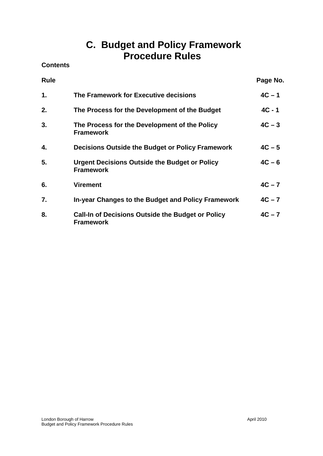# **C. Budget and Policy Framework Procedure Rules**

**Contents** 

| <b>Rule</b> |                                                                              | Page No. |
|-------------|------------------------------------------------------------------------------|----------|
| 1.          | The Framework for Executive decisions                                        | $4C - 1$ |
| 2.          | The Process for the Development of the Budget                                | $4C - 1$ |
| 3.          | The Process for the Development of the Policy<br><b>Framework</b>            | $4C - 3$ |
| 4.          | Decisions Outside the Budget or Policy Framework                             | $4C - 5$ |
| 5.          | <b>Urgent Decisions Outside the Budget or Policy</b><br><b>Framework</b>     | $4C - 6$ |
| 6.          | <b>Virement</b>                                                              | $4C - 7$ |
| 7.          | In-year Changes to the Budget and Policy Framework                           | $4C - 7$ |
| 8.          | <b>Call-In of Decisions Outside the Budget or Policy</b><br><b>Framework</b> | $4C - 7$ |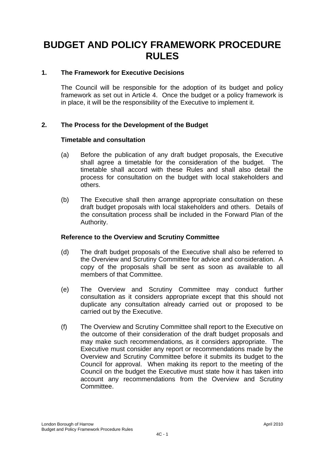# **BUDGET AND POLICY FRAMEWORK PROCEDURE RULES**

## **1. The Framework for Executive Decisions**

The Council will be responsible for the adoption of its budget and policy framework as set out in Article 4. Once the budget or a policy framework is in place, it will be the responsibility of the Executive to implement it.

## **2. The Process for the Development of the Budget**

#### **Timetable and consultation**

- (a) Before the publication of any draft budget proposals, the Executive shall agree a timetable for the consideration of the budget. The timetable shall accord with these Rules and shall also detail the process for consultation on the budget with local stakeholders and others.
- (b) The Executive shall then arrange appropriate consultation on these draft budget proposals with local stakeholders and others. Details of the consultation process shall be included in the Forward Plan of the Authority.

#### **Reference to the Overview and Scrutiny Committee**

- (d) The draft budget proposals of the Executive shall also be referred to the Overview and Scrutiny Committee for advice and consideration. A copy of the proposals shall be sent as soon as available to all members of that Committee.
- (e) The Overview and Scrutiny Committee may conduct further consultation as it considers appropriate except that this should not duplicate any consultation already carried out or proposed to be carried out by the Executive.
- (f) The Overview and Scrutiny Committee shall report to the Executive on the outcome of their consideration of the draft budget proposals and may make such recommendations, as it considers appropriate. The Executive must consider any report or recommendations made by the Overview and Scrutiny Committee before it submits its budget to the Council for approval. When making its report to the meeting of the Council on the budget the Executive must state how it has taken into account any recommendations from the Overview and Scrutiny Committee.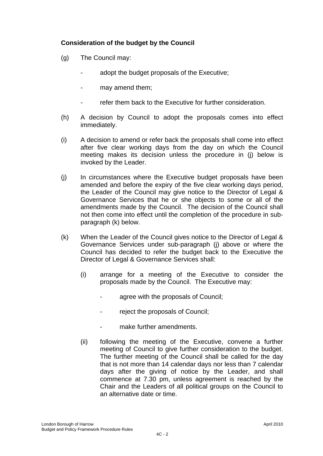# **Consideration of the budget by the Council**

- (g) The Council may:
	- adopt the budget proposals of the Executive:
	- may amend them:
	- refer them back to the Executive for further consideration.
- (h) A decision by Council to adopt the proposals comes into effect immediately.
- (i) A decision to amend or refer back the proposals shall come into effect after five clear working days from the day on which the Council meeting makes its decision unless the procedure in (j) below is invoked by the Leader.
- (j) In circumstances where the Executive budget proposals have been amended and before the expiry of the five clear working days period, the Leader of the Council may give notice to the Director of Legal & Governance Services that he or she objects to some or all of the amendments made by the Council. The decision of the Council shall not then come into effect until the completion of the procedure in subparagraph (k) below.
- (k) When the Leader of the Council gives notice to the Director of Legal & Governance Services under sub-paragraph (j) above or where the Council has decided to refer the budget back to the Executive the Director of Legal & Governance Services shall:
	- (i) arrange for a meeting of the Executive to consider the proposals made by the Council. The Executive may:
		- agree with the proposals of Council;
		- reject the proposals of Council:
		- make further amendments.
	- (ii) following the meeting of the Executive, convene a further meeting of Council to give further consideration to the budget. The further meeting of the Council shall be called for the day that is not more than 14 calendar days nor less than 7 calendar days after the giving of notice by the Leader, and shall commence at 7.30 pm, unless agreement is reached by the Chair and the Leaders of all political groups on the Council to an alternative date or time.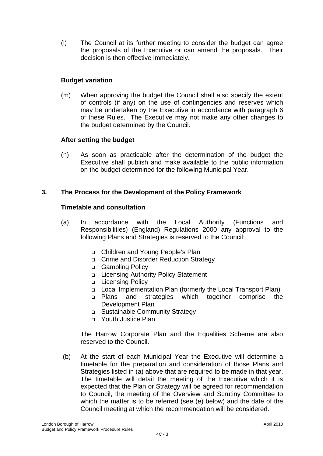(l) The Council at its further meeting to consider the budget can agree the proposals of the Executive or can amend the proposals. Their decision is then effective immediately.

## **Budget variation**

(m) When approving the budget the Council shall also specify the extent of controls (if any) on the use of contingencies and reserves which may be undertaken by the Executive in accordance with paragraph 6 of these Rules. The Executive may not make any other changes to the budget determined by the Council.

## **After setting the budget**

(n) As soon as practicable after the determination of the budget the Executive shall publish and make available to the public information on the budget determined for the following Municipal Year.

## **3. The Process for the Development of the Policy Framework**

#### **Timetable and consultation**

- (a) In accordance with the Local Authority (Functions and Responsibilities) (England) Regulations 2000 any approval to the following Plans and Strategies is reserved to the Council:
	- Children and Young People's Plan
	- Crime and Disorder Reduction Strategy
	- □ Gambling Policy
	- □ Licensing Authority Policy Statement
	- Licensing Policy
	- Local Implementation Plan (formerly the Local Transport Plan)
	- Plans and strategies which together comprise the Development Plan
	- Sustainable Community Strategy
	- **D** Youth Justice Plan

The Harrow Corporate Plan and the Equalities Scheme are also reserved to the Council.

 (b) At the start of each Municipal Year the Executive will determine a timetable for the preparation and consideration of those Plans and Strategies listed in (a) above that are required to be made in that year. The timetable will detail the meeting of the Executive which it is expected that the Plan or Strategy will be agreed for recommendation to Council, the meeting of the Overview and Scrutiny Committee to which the matter is to be referred (see (e) below) and the date of the Council meeting at which the recommendation will be considered.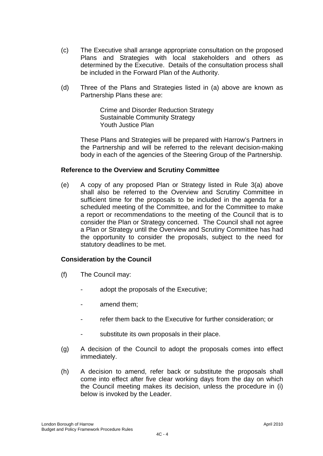- (c) The Executive shall arrange appropriate consultation on the proposed Plans and Strategies with local stakeholders and others as determined by the Executive. Details of the consultation process shall be included in the Forward Plan of the Authority.
- (d) Three of the Plans and Strategies listed in (a) above are known as Partnership Plans these are:

 Crime and Disorder Reduction Strategy Sustainable Community Strategy Youth Justice Plan

 These Plans and Strategies will be prepared with Harrow's Partners in the Partnership and will be referred to the relevant decision-making body in each of the agencies of the Steering Group of the Partnership.

## **Reference to the Overview and Scrutiny Committee**

(e) A copy of any proposed Plan or Strategy listed in Rule 3(a) above shall also be referred to the Overview and Scrutiny Committee in sufficient time for the proposals to be included in the agenda for a scheduled meeting of the Committee, and for the Committee to make a report or recommendations to the meeting of the Council that is to consider the Plan or Strategy concerned. The Council shall not agree a Plan or Strategy until the Overview and Scrutiny Committee has had the opportunity to consider the proposals, subject to the need for statutory deadlines to be met.

#### **Consideration by the Council**

- (f) The Council may:
	- adopt the proposals of the Executive;
	- amend them;
	- refer them back to the Executive for further consideration; or
	- substitute its own proposals in their place.
- (g) A decision of the Council to adopt the proposals comes into effect immediately.
- (h) A decision to amend, refer back or substitute the proposals shall come into effect after five clear working days from the day on which the Council meeting makes its decision, unless the procedure in (i) below is invoked by the Leader.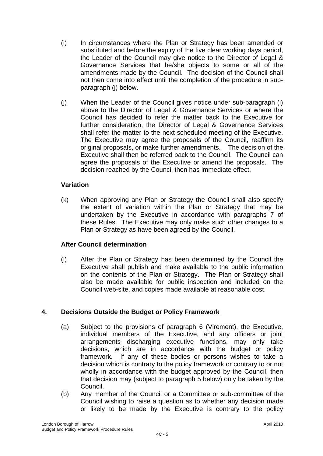- (i) In circumstances where the Plan or Strategy has been amended or substituted and before the expiry of the five clear working days period, the Leader of the Council may give notice to the Director of Legal & Governance Services that he/she objects to some or all of the amendments made by the Council. The decision of the Council shall not then come into effect until the completion of the procedure in subparagraph (j) below.
- (j) When the Leader of the Council gives notice under sub-paragraph (i) above to the Director of Legal & Governance Services or where the Council has decided to refer the matter back to the Executive for further consideration, the Director of Legal & Governance Services shall refer the matter to the next scheduled meeting of the Executive. The Executive may agree the proposals of the Council, reaffirm its original proposals, or make further amendments. The decision of the Executive shall then be referred back to the Council. The Council can agree the proposals of the Executive or amend the proposals. The decision reached by the Council then has immediate effect.

## **Variation**

(k) When approving any Plan or Strategy the Council shall also specify the extent of variation within the Plan or Strategy that may be undertaken by the Executive in accordance with paragraphs 7 of these Rules. The Executive may only make such other changes to a Plan or Strategy as have been agreed by the Council.

#### **After Council determination**

(l) After the Plan or Strategy has been determined by the Council the Executive shall publish and make available to the public information on the contents of the Plan or Strategy. The Plan or Strategy shall also be made available for public inspection and included on the Council web-site, and copies made available at reasonable cost.

# **4. Decisions Outside the Budget or Policy Framework**

- (a) Subject to the provisions of paragraph 6 (Virement), the Executive, individual members of the Executive, and any officers or joint arrangements discharging executive functions, may only take decisions, which are in accordance with the budget or policy framework. If any of these bodies or persons wishes to take a decision which is contrary to the policy framework or contrary to or not wholly in accordance with the budget approved by the Council, then that decision may (subject to paragraph 5 below) only be taken by the Council.
- (b) Any member of the Council or a Committee or sub-committee of the Council wishing to raise a question as to whether any decision made or likely to be made by the Executive is contrary to the policy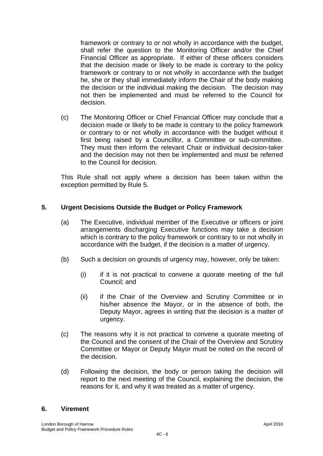framework or contrary to or not wholly in accordance with the budget, shall refer the question to the Monitoring Officer and/or the Chief Financial Officer as appropriate. If either of these officers considers that the decision made or likely to be made is contrary to the policy framework or contrary to or not wholly in accordance with the budget he, she or they shall immediately inform the Chair of the body making the decision or the individual making the decision. The decision may not then be implemented and must be referred to the Council for decision.

(c) The Monitoring Officer or Chief Financial Officer may conclude that a decision made or likely to be made is contrary to the policy framework or contrary to or not wholly in accordance with the budget without it first being raised by a Councillor, a Committee or sub-committee. They must then inform the relevant Chair or individual decision-taker and the decision may not then be implemented and must be referred to the Council for decision.

This Rule shall not apply where a decision has been taken within the exception permitted by Rule 5.

## **5. Urgent Decisions Outside the Budget or Policy Framework**

- (a) The Executive, individual member of the Executive or officers or joint arrangements discharging Executive functions may take a decision which is contrary to the policy framework or contrary to or not wholly in accordance with the budget, if the decision is a matter of urgency.
- (b) Such a decision on grounds of urgency may, however, only be taken:
	- $(i)$  if it is not practical to convene a quorate meeting of the full Council; and
	- (ii) if the Chair of the Overview and Scrutiny Committee or in his/her absence the Mayor, or in the absence of both, the Deputy Mayor, agrees in writing that the decision is a matter of urgency.
- (c) The reasons why it is not practical to convene a quorate meeting of the Council and the consent of the Chair of the Overview and Scrutiny Committee or Mayor or Deputy Mayor must be noted on the record of the decision.
- (d) Following the decision, the body or person taking the decision will report to the next meeting of the Council, explaining the decision, the reasons for it, and why it was treated as a matter of urgency.

#### **6. Virement**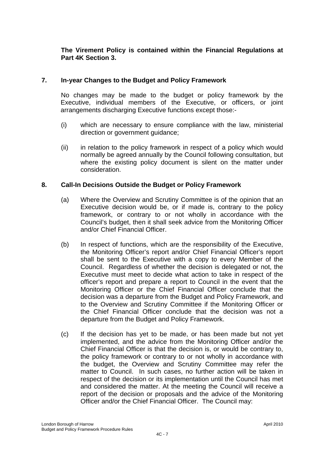## **The Virement Policy is contained within the Financial Regulations at Part 4K Section 3.**

## **7. In-year Changes to the Budget and Policy Framework**

No changes may be made to the budget or policy framework by the Executive, individual members of the Executive, or officers, or joint arrangements discharging Executive functions except those:-

- (i) which are necessary to ensure compliance with the law, ministerial direction or government guidance;
- (ii) in relation to the policy framework in respect of a policy which would normally be agreed annually by the Council following consultation, but where the existing policy document is silent on the matter under consideration.

#### **8. Call-In Decisions Outside the Budget or Policy Framework**

- (a) Where the Overview and Scrutiny Committee is of the opinion that an Executive decision would be, or if made is, contrary to the policy framework, or contrary to or not wholly in accordance with the Council's budget, then it shall seek advice from the Monitoring Officer and/or Chief Financial Officer.
- (b) In respect of functions, which are the responsibility of the Executive, the Monitoring Officer's report and/or Chief Financial Officer's report shall be sent to the Executive with a copy to every Member of the Council. Regardless of whether the decision is delegated or not, the Executive must meet to decide what action to take in respect of the officer's report and prepare a report to Council in the event that the Monitoring Officer or the Chief Financial Officer conclude that the decision was a departure from the Budget and Policy Framework, and to the Overview and Scrutiny Committee if the Monitoring Officer or the Chief Financial Officer conclude that the decision was not a departure from the Budget and Policy Framework.
- (c) If the decision has yet to be made, or has been made but not yet implemented, and the advice from the Monitoring Officer and/or the Chief Financial Officer is that the decision is, or would be contrary to, the policy framework or contrary to or not wholly in accordance with the budget, the Overview and Scrutiny Committee may refer the matter to Council. In such cases, no further action will be taken in respect of the decision or its implementation until the Council has met and considered the matter. At the meeting the Council will receive a report of the decision or proposals and the advice of the Monitoring Officer and/or the Chief Financial Officer. The Council may: